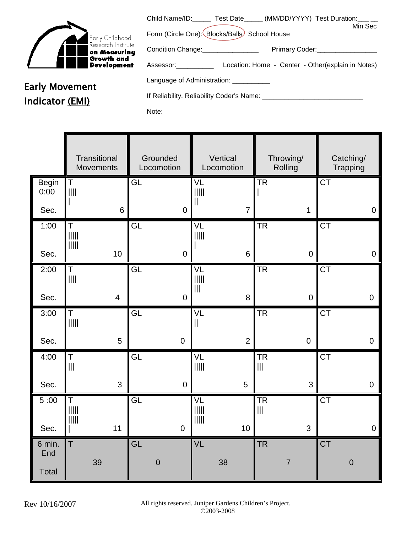

Early Movement

Indicator (EMI)

|                                                                              | Child Name/ID: _____ Test Date _____ (MM/DD/YYYY) Test Duration: ___ __ | Min Sec |
|------------------------------------------------------------------------------|-------------------------------------------------------------------------|---------|
| Form (Circle One): Blocks/Balls School House                                 |                                                                         |         |
| Condition Change: Condition Change:                                          | Primary Coder:<br><u> </u>                                              |         |
| Assessor: 1990 March 1990                                                    | Location: Home - Center - Other(explain in Notes)                       |         |
| Language of Administration: ___________                                      |                                                                         |         |
| If Reliability, Reliability Coder's Name: [19] The Reliability Coder's Name: |                                                                         |         |
| Note:                                                                        |                                                                         |         |

**Transitional Movements Grounded** Locomotion **Vertical** Locomotion Throwing/ **Rolling** Catching/ Trapping Begin 0:00 Sec. T |||| | 6 GL 0 VL ||||| || 7 **TR** | 1 **CT**  0 1:00 Sec.  $\overline{\mathsf{T}}$ ||||| ||||| 10 GL 0 VL ||||| | 6 TR 0 **CT**  0 2:00 Sec. T |||| 4 GL 0 VL ||||| ||| 8 TR 0 **CT**  0 3:00 Sec. T ||||| 5 GL 0 VL || 2 TR 0 **CT**  0 4:00 Sec. T ||| 3 GL 0 VL ||||| 5 TR ||| 3 **CT**  0 5 :00 Sec. T ||||| ||||| | 11 GL 0 VL ||||| ||||| 10 TR ||| 3 **CT**  0 6 min. End **Total**  $\mathsf{T}$  39 GL 0 VL 38 TR 7 **CT** 0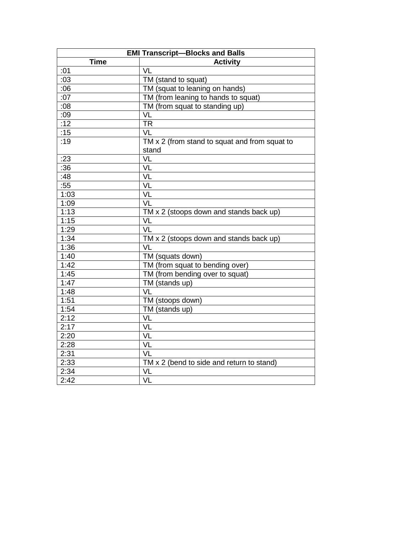| <b>EMI Transcript-Blocks and Balls</b> |                                                |
|----------------------------------------|------------------------------------------------|
| <b>Time</b>                            | <b>Activity</b>                                |
| :01                                    | $\overline{\mathsf{VL}}$                       |
| :03                                    | TM (stand to squat)                            |
| :06                                    | TM (squat to leaning on hands)                 |
| :07                                    | TM (from leaning to hands to squat)            |
| :08                                    | TM (from squat to standing up)                 |
| :09                                    | VL                                             |
| :12                                    | <b>TR</b>                                      |
| :15                                    | VL                                             |
| :19                                    | TM x 2 (from stand to squat and from squat to  |
|                                        | stand                                          |
| :23                                    | VL                                             |
| $\overline{.36}$                       | VL                                             |
| :48                                    | VL                                             |
| :55                                    | VL                                             |
| 1:03                                   | VL                                             |
| 1:09                                   | VL                                             |
| 1:13                                   | TM $\times$ 2 (stoops down and stands back up) |
| 1:15                                   | VL                                             |
| 1:29                                   | VL                                             |
| 1:34                                   | TM x 2 (stoops down and stands back up)        |
| 1:36                                   | VL                                             |
| 1:40                                   | TM (squats down)                               |
| 1:42                                   | TM (from squat to bending over)                |
| 1:45                                   | TM (from bending over to squat)                |
| 1:47                                   | TM (stands up)                                 |
| 1:48                                   | VL                                             |
| 1:51                                   | TM (stoops down)                               |
| 1:54                                   | TM (stands up)                                 |
| 2:12                                   | VL                                             |
| 2:17                                   | VL                                             |
| 2:20                                   | VL                                             |
| 2:28                                   | VL                                             |
| 2:31                                   | VL                                             |
| 2:33                                   | TM x 2 (bend to side and return to stand)      |
| 2:34                                   | VL                                             |
| 2:42                                   | VL                                             |